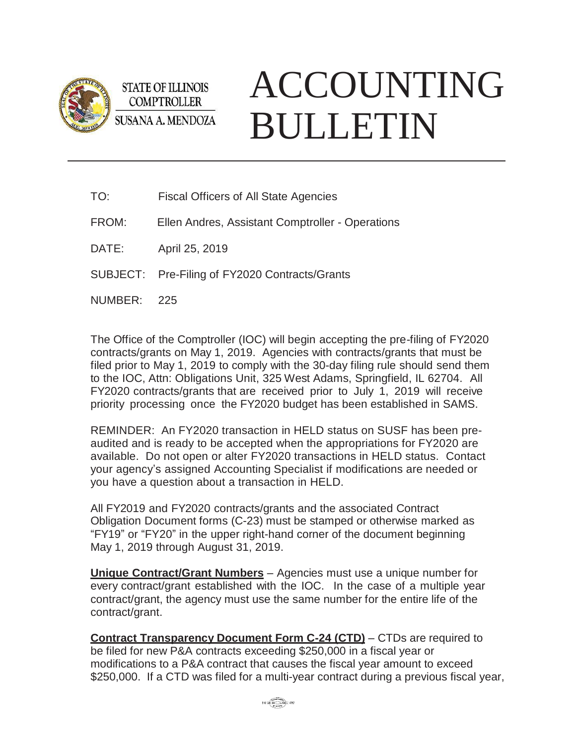

**STATE OF ILLINOIS COMPTROLLER SUSANA A. MENDOZA** 

## ACCOUNTING BULLETIN

| TO:   | <b>Fiscal Officers of All State Agencies</b>     |
|-------|--------------------------------------------------|
| FROM: | Ellen Andres, Assistant Comptroller - Operations |
| DATE: | April 25, 2019                                   |
|       |                                                  |

SUBJECT: Pre-Filing of FY2020 Contracts/Grants

NUMBER: 225

The Office of the Comptroller (IOC) will begin accepting the pre-filing of FY2020 contracts/grants on May 1, 2019. Agencies with contracts/grants that must be filed prior to May 1, 2019 to comply with the 30-day filing rule should send them to the IOC, Attn: Obligations Unit, 325 West Adams, Springfield, IL 62704. All FY2020 contracts/grants that are received prior to July 1, 2019 will receive priority processing once the FY2020 budget has been established in SAMS.

REMINDER: An FY2020 transaction in HELD status on SUSF has been preaudited and is ready to be accepted when the appropriations for FY2020 are available. Do not open or alter FY2020 transactions in HELD status. Contact your agency's assigned Accounting Specialist if modifications are needed or you have a question about a transaction in HELD.

All FY2019 and FY2020 contracts/grants and the associated Contract Obligation Document forms (C-23) must be stamped or otherwise marked as "FY19" or "FY20" in the upper right-hand corner of the document beginning May 1, 2019 through August 31, 2019.

**Unique Contract/Grant Numbers** – Agencies must use a unique number for every contract/grant established with the IOC. In the case of a multiple year contract/grant, the agency must use the same number for the entire life of the contract/grant.

**Contract Transparency Document Form C-24 (CTD)** – CTDs are required to be filed for new P&A contracts exceeding \$250,000 in a fiscal year or modifications to a P&A contract that causes the fiscal year amount to exceed \$250,000. If a CTD was filed for a multi-year contract during a previous fiscal year,